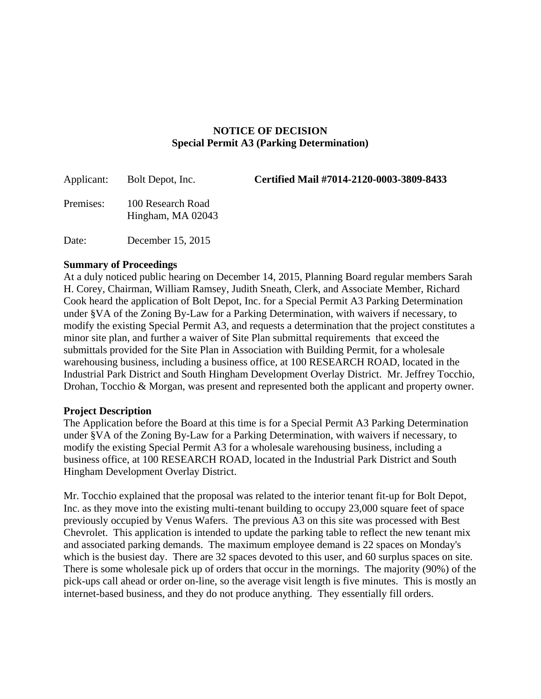## **NOTICE OF DECISION Special Permit A3 (Parking Determination)**

| Applicant: | Bolt Depot, Inc.                       | Certified Mail #7014-2120-0003-3809-8433 |
|------------|----------------------------------------|------------------------------------------|
| Premises:  | 100 Research Road<br>Hingham, MA 02043 |                                          |
| Date:      | December 15, 2015                      |                                          |

## **Summary of Proceedings**

At a duly noticed public hearing on December 14, 2015, Planning Board regular members Sarah H. Corey, Chairman, William Ramsey, Judith Sneath, Clerk, and Associate Member, Richard Cook heard the application of Bolt Depot, Inc. for a Special Permit A3 Parking Determination under §VA of the Zoning By-Law for a Parking Determination, with waivers if necessary, to modify the existing Special Permit A3, and requests a determination that the project constitutes a minor site plan, and further a waiver of Site Plan submittal requirements that exceed the submittals provided for the Site Plan in Association with Building Permit, for a wholesale warehousing business, including a business office, at 100 RESEARCH ROAD, located in the Industrial Park District and South Hingham Development Overlay District. Mr. Jeffrey Tocchio, Drohan, Tocchio & Morgan, was present and represented both the applicant and property owner.

## **Project Description**

The Application before the Board at this time is for a Special Permit A3 Parking Determination under §VA of the Zoning By-Law for a Parking Determination, with waivers if necessary, to modify the existing Special Permit A3 for a wholesale warehousing business, including a business office, at 100 RESEARCH ROAD, located in the Industrial Park District and South Hingham Development Overlay District.

Mr. Tocchio explained that the proposal was related to the interior tenant fit-up for Bolt Depot, Inc. as they move into the existing multi-tenant building to occupy 23,000 square feet of space previously occupied by Venus Wafers. The previous A3 on this site was processed with Best Chevrolet. This application is intended to update the parking table to reflect the new tenant mix and associated parking demands. The maximum employee demand is 22 spaces on Monday's which is the busiest day. There are 32 spaces devoted to this user, and 60 surplus spaces on site. There is some wholesale pick up of orders that occur in the mornings. The majority (90%) of the pick-ups call ahead or order on-line, so the average visit length is five minutes. This is mostly an internet-based business, and they do not produce anything. They essentially fill orders.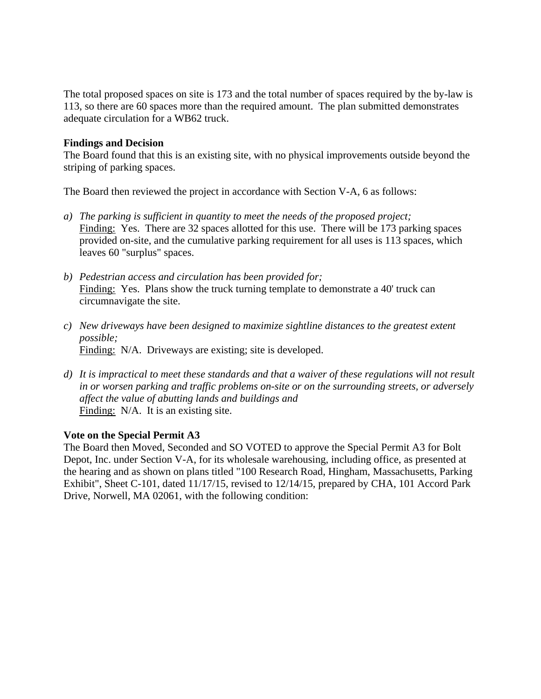The total proposed spaces on site is 173 and the total number of spaces required by the by-law is 113, so there are 60 spaces more than the required amount. The plan submitted demonstrates adequate circulation for a WB62 truck.

## **Findings and Decision**

The Board found that this is an existing site, with no physical improvements outside beyond the striping of parking spaces.

The Board then reviewed the project in accordance with Section V-A, 6 as follows:

- *a) The parking is sufficient in quantity to meet the needs of the proposed project;*  Finding: Yes. There are 32 spaces allotted for this use. There will be 173 parking spaces provided on-site, and the cumulative parking requirement for all uses is 113 spaces, which leaves 60 "surplus" spaces.
- *b) Pedestrian access and circulation has been provided for;*  Finding: Yes. Plans show the truck turning template to demonstrate a 40' truck can circumnavigate the site.
- *c) New driveways have been designed to maximize sightline distances to the greatest extent possible;*  Finding: N/A. Driveways are existing; site is developed.
- *d) It is impractical to meet these standards and that a waiver of these regulations will not result in or worsen parking and traffic problems on-site or on the surrounding streets, or adversely affect the value of abutting lands and buildings and*  Finding: N/A. It is an existing site.

## **Vote on the Special Permit A3**

The Board then Moved, Seconded and SO VOTED to approve the Special Permit A3 for Bolt Depot, Inc. under Section V-A, for its wholesale warehousing, including office, as presented at the hearing and as shown on plans titled "100 Research Road, Hingham, Massachusetts, Parking Exhibit", Sheet C-101, dated 11/17/15, revised to 12/14/15, prepared by CHA, 101 Accord Park Drive, Norwell, MA 02061, with the following condition: